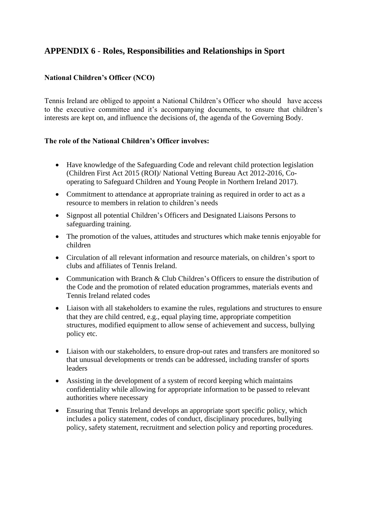# **APPENDIX 6** - **Roles, Responsibilities and Relationships in Sport**

# **National Children's Officer (NCO)**

Tennis Ireland are obliged to appoint a National Children's Officer who should have access to the executive committee and it's accompanying documents, to ensure that children's interests are kept on, and influence the decisions of, the agenda of the Governing Body.

# **The role of the National Children's Officer involves:**

- Have knowledge of the Safeguarding Code and relevant child protection legislation (Children First Act 2015 (ROI)/ National Vetting Bureau Act 2012-2016, Cooperating to Safeguard Children and Young People in Northern Ireland 2017).
- Commitment to attendance at appropriate training as required in order to act as a resource to members in relation to children's needs
- Signpost all potential Children's Officers and Designated Liaisons Persons to safeguarding training.
- The promotion of the values, attitudes and structures which make tennis enjoyable for children
- Circulation of all relevant information and resource materials, on children's sport to clubs and affiliates of Tennis Ireland.
- Communication with Branch & Club Children's Officers to ensure the distribution of the Code and the promotion of related education programmes, materials events and Tennis Ireland related codes
- Liaison with all stakeholders to examine the rules, regulations and structures to ensure that they are child centred, e.g., equal playing time, appropriate competition structures, modified equipment to allow sense of achievement and success, bullying policy etc.
- Liaison with our stakeholders, to ensure drop-out rates and transfers are monitored so that unusual developments or trends can be addressed, including transfer of sports leaders
- Assisting in the development of a system of record keeping which maintains confidentiality while allowing for appropriate information to be passed to relevant authorities where necessary
- Ensuring that Tennis Ireland develops an appropriate sport specific policy, which includes a policy statement, codes of conduct, disciplinary procedures, bullying policy, safety statement, recruitment and selection policy and reporting procedures.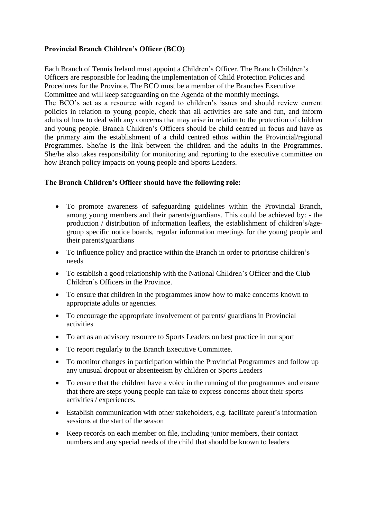# **Provincial Branch Children's Officer (BCO)**

Each Branch of Tennis Ireland must appoint a Children's Officer. The Branch Children's Officers are responsible for leading the implementation of Child Protection Policies and Procedures for the Province. The BCO must be a member of the Branches Executive Committee and will keep safeguarding on the Agenda of the monthly meetings. The BCO's act as a resource with regard to children's issues and should review current policies in relation to young people, check that all activities are safe and fun, and inform adults of how to deal with any concerns that may arise in relation to the protection of children and young people. Branch Children's Officers should be child centred in focus and have as the primary aim the establishment of a child centred ethos within the Provincial/regional Programmes. She/he is the link between the children and the adults in the Programmes. She/he also takes responsibility for monitoring and reporting to the executive committee on

# **The Branch Children's Officer should have the following role:**

how Branch policy impacts on young people and Sports Leaders.

- To promote awareness of safeguarding guidelines within the Provincial Branch, among young members and their parents/guardians. This could be achieved by: - the production / distribution of information leaflets, the establishment of children's/agegroup specific notice boards, regular information meetings for the young people and their parents/guardians
- To influence policy and practice within the Branch in order to prioritise children's needs
- To establish a good relationship with the National Children's Officer and the Club Children's Officers in the Province.
- To ensure that children in the programmes know how to make concerns known to appropriate adults or agencies.
- To encourage the appropriate involvement of parents/ guardians in Provincial activities
- To act as an advisory resource to Sports Leaders on best practice in our sport
- To report regularly to the Branch Executive Committee.
- To monitor changes in participation within the Provincial Programmes and follow up any unusual dropout or absenteeism by children or Sports Leaders
- To ensure that the children have a voice in the running of the programmes and ensure that there are steps young people can take to express concerns about their sports activities / experiences.
- Establish communication with other stakeholders, e.g. facilitate parent's information sessions at the start of the season
- Keep records on each member on file, including junior members, their contact numbers and any special needs of the child that should be known to leaders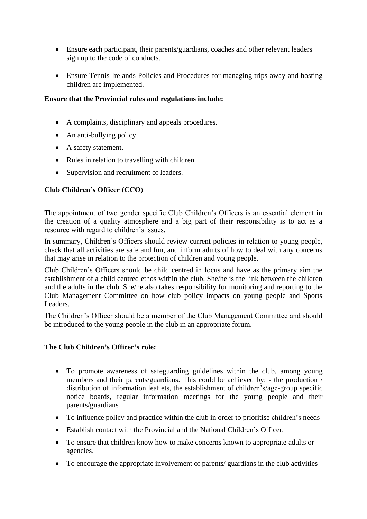- Ensure each participant, their parents/guardians, coaches and other relevant leaders sign up to the code of conducts.
- Ensure Tennis Irelands Policies and Procedures for managing trips away and hosting children are implemented.

# **Ensure that the Provincial rules and regulations include:**

- A complaints, disciplinary and appeals procedures.
- An anti-bullying policy.
- A safety statement.
- Rules in relation to travelling with children.
- Supervision and recruitment of leaders.

# **Club Children's Officer (CCO)**

The appointment of two gender specific Club Children's Officers is an essential element in the creation of a quality atmosphere and a big part of their responsibility is to act as a resource with regard to children's issues.

In summary, Children's Officers should review current policies in relation to young people, check that all activities are safe and fun, and inform adults of how to deal with any concerns that may arise in relation to the protection of children and young people.

Club Children's Officers should be child centred in focus and have as the primary aim the establishment of a child centred ethos within the club. She/he is the link between the children and the adults in the club. She/he also takes responsibility for monitoring and reporting to the Club Management Committee on how club policy impacts on young people and Sports Leaders.

The Children's Officer should be a member of the Club Management Committee and should be introduced to the young people in the club in an appropriate forum.

# **The Club Children's Officer's role:**

- To promote awareness of safeguarding guidelines within the club, among young members and their parents/guardians. This could be achieved by: - the production / distribution of information leaflets, the establishment of children's/age-group specific notice boards, regular information meetings for the young people and their parents/guardians
- To influence policy and practice within the club in order to prioritise children's needs
- Establish contact with the Provincial and the National Children's Officer.
- To ensure that children know how to make concerns known to appropriate adults or agencies.
- To encourage the appropriate involvement of parents/ guardians in the club activities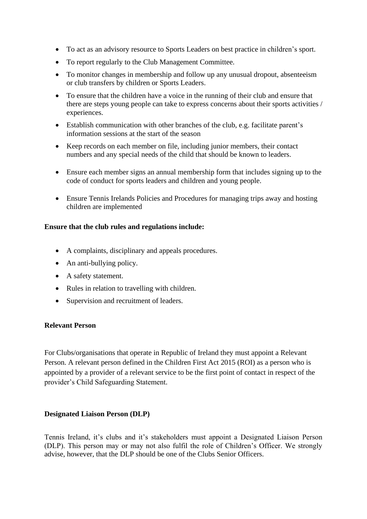- To act as an advisory resource to Sports Leaders on best practice in children's sport.
- To report regularly to the Club Management Committee.
- To monitor changes in membership and follow up any unusual dropout, absenteeism or club transfers by children or Sports Leaders.
- To ensure that the children have a voice in the running of their club and ensure that there are steps young people can take to express concerns about their sports activities / experiences.
- Establish communication with other branches of the club, e.g. facilitate parent's information sessions at the start of the season
- Keep records on each member on file, including junior members, their contact numbers and any special needs of the child that should be known to leaders.
- Ensure each member signs an annual membership form that includes signing up to the code of conduct for sports leaders and children and young people.
- Ensure Tennis Irelands Policies and Procedures for managing trips away and hosting children are implemented

### **Ensure that the club rules and regulations include:**

- A complaints, disciplinary and appeals procedures.
- An anti-bullying policy.
- A safety statement.
- Rules in relation to travelling with children.
- Supervision and recruitment of leaders.

#### **Relevant Person**

For Clubs/organisations that operate in Republic of Ireland they must appoint a Relevant Person. A relevant person defined in the Children First Act 2015 (ROI) as a person who is appointed by a provider of a relevant service to be the first point of contact in respect of the provider's Child Safeguarding Statement.

#### **Designated Liaison Person (DLP)**

Tennis Ireland, it's clubs and it's stakeholders must appoint a Designated Liaison Person (DLP). This person may or may not also fulfil the role of Children's Officer. We strongly advise, however, that the DLP should be one of the Clubs Senior Officers.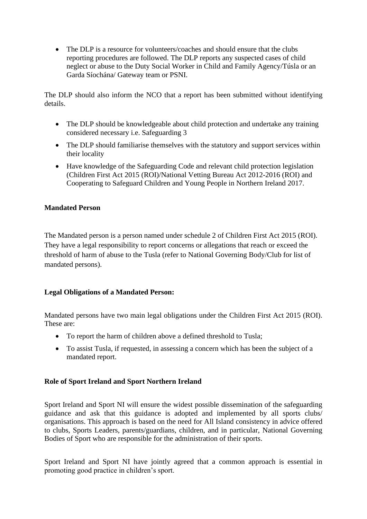• The DLP is a resource for volunteers/coaches and should ensure that the clubs reporting procedures are followed. The DLP reports any suspected cases of child neglect or abuse to the Duty Social Worker in Child and Family Agency/Túsla or an Garda Síochána/ Gateway team or PSNI.

The DLP should also inform the NCO that a report has been submitted without identifying details.

- The DLP should be knowledgeable about child protection and undertake any training considered necessary i.e. Safeguarding 3
- The DLP should familiarise themselves with the statutory and support services within their locality
- Have knowledge of the Safeguarding Code and relevant child protection legislation (Children First Act 2015 (ROI)/National Vetting Bureau Act 2012-2016 (ROI) and Cooperating to Safeguard Children and Young People in Northern Ireland 2017.

# **Mandated Person**

The Mandated person is a person named under schedule 2 of Children First Act 2015 (ROI). They have a legal responsibility to report concerns or allegations that reach or exceed the threshold of harm of abuse to the Tusla (refer to National Governing Body/Club for list of mandated persons).

# **Legal Obligations of a Mandated Person:**

Mandated persons have two main legal obligations under the Children First Act 2015 (ROI). These are:

- To report the harm of children above a defined threshold to Tusla:
- To assist Tusla, if requested, in assessing a concern which has been the subject of a mandated report.

# **Role of Sport Ireland and Sport Northern Ireland**

Sport Ireland and Sport NI will ensure the widest possible dissemination of the safeguarding guidance and ask that this guidance is adopted and implemented by all sports clubs/ organisations. This approach is based on the need for All Island consistency in advice offered to clubs, Sports Leaders, parents/guardians, children, and in particular, National Governing Bodies of Sport who are responsible for the administration of their sports.

Sport Ireland and Sport NI have jointly agreed that a common approach is essential in promoting good practice in children's sport.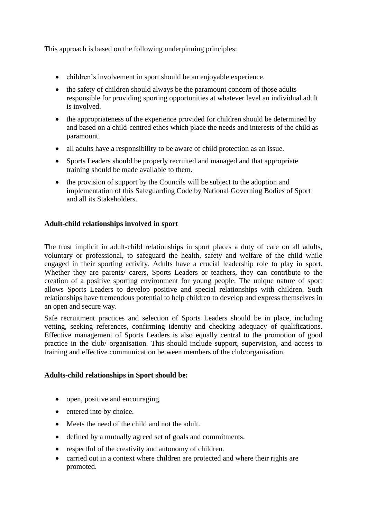This approach is based on the following underpinning principles:

- children's involvement in sport should be an enjoyable experience.
- the safety of children should always be the paramount concern of those adults responsible for providing sporting opportunities at whatever level an individual adult is involved.
- the appropriateness of the experience provided for children should be determined by and based on a child-centred ethos which place the needs and interests of the child as paramount.
- all adults have a responsibility to be aware of child protection as an issue.
- Sports Leaders should be properly recruited and managed and that appropriate training should be made available to them.
- the provision of support by the Councils will be subject to the adoption and implementation of this Safeguarding Code by National Governing Bodies of Sport and all its Stakeholders.

# **Adult-child relationships involved in sport**

The trust implicit in adult-child relationships in sport places a duty of care on all adults, voluntary or professional, to safeguard the health, safety and welfare of the child while engaged in their sporting activity. Adults have a crucial leadership role to play in sport. Whether they are parents/ carers, Sports Leaders or teachers, they can contribute to the creation of a positive sporting environment for young people. The unique nature of sport allows Sports Leaders to develop positive and special relationships with children. Such relationships have tremendous potential to help children to develop and express themselves in an open and secure way.

Safe recruitment practices and selection of Sports Leaders should be in place, including vetting, seeking references, confirming identity and checking adequacy of qualifications. Effective management of Sports Leaders is also equally central to the promotion of good practice in the club/ organisation. This should include support, supervision, and access to training and effective communication between members of the club/organisation.

# **Adults-child relationships in Sport should be:**

- open, positive and encouraging.
- entered into by choice.
- Meets the need of the child and not the adult.
- defined by a mutually agreed set of goals and commitments.
- respectful of the creativity and autonomy of children.
- carried out in a context where children are protected and where their rights are promoted.